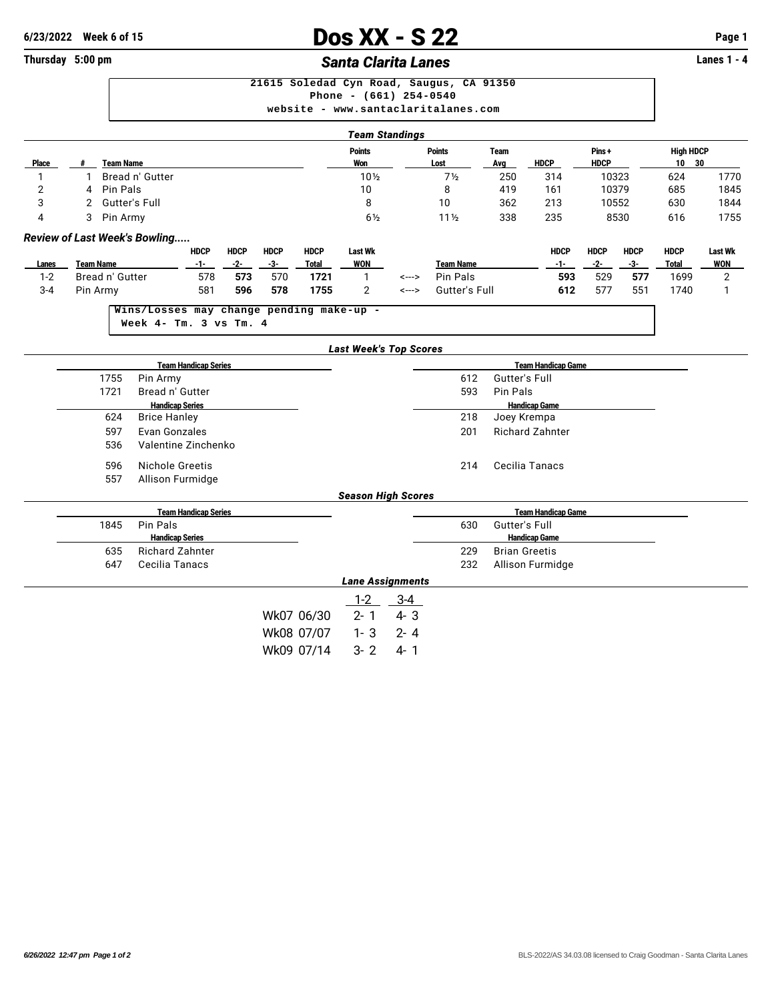# **C**<br> **Example 1** Dos XX - S 22 **Page 1** Page 1<br> **Example 2** Page 1<br> **Example 2** Page 1<br> **Example 2** Page 1<br> **Example 2** Page 1

### **Thursday 5:00 pm Santa Clarita Lanes**

| Taam Claudiuse |                                          |  |  |  |  |  |  |  |  |  |  |
|----------------|------------------------------------------|--|--|--|--|--|--|--|--|--|--|
|                | website - www.santaclaritalanes.com      |  |  |  |  |  |  |  |  |  |  |
|                | Phone - $(661)$ 254-0540                 |  |  |  |  |  |  |  |  |  |  |
|                | 21615 Soledad Cyn Road, Saugus, CA 91350 |  |  |  |  |  |  |  |  |  |  |
|                |                                          |  |  |  |  |  |  |  |  |  |  |

|                |                             |                  |                                          |                             |             |             |              |                               | Team Standings |                  |                      |                           |             |             |                  |                |
|----------------|-----------------------------|------------------|------------------------------------------|-----------------------------|-------------|-------------|--------------|-------------------------------|----------------|------------------|----------------------|---------------------------|-------------|-------------|------------------|----------------|
|                |                             |                  |                                          |                             |             |             |              | <b>Points</b>                 |                | <b>Points</b>    | <b>Team</b>          |                           | Pins+       |             | <b>High HDCP</b> |                |
| <b>Place</b>   | #                           | <b>Team Name</b> |                                          |                             |             |             |              | Won                           |                | Lost             | Avg                  | <b>HDCP</b>               | <b>HDCP</b> |             | $10 30$          |                |
| 1              | 1                           |                  | Bread n' Gutter                          |                             |             |             |              | 10 <sub>2</sub>               |                | 7 <sub>2</sub>   | 250                  | 314                       | 10323       |             | 624              | 1770           |
| $\overline{2}$ | 4                           | Pin Pals         |                                          |                             |             |             |              | 10                            |                | 8                | 419                  | 161                       | 10379       |             | 685              | 1845           |
| 3              | 2                           |                  | <b>Gutter's Full</b>                     |                             |             |             |              | 8                             |                | 10               | 362                  | 213                       | 10552       |             | 630              | 1844           |
| 4              | 3<br>Pin Army               |                  |                                          |                             |             |             |              | $6\frac{1}{2}$                |                | $11\frac{1}{2}$  | 338                  | 235                       |             | 8530        | 616              | 1755           |
|                |                             |                  | <b>Review of Last Week's Bowling</b>     |                             |             |             |              |                               |                |                  |                      |                           |             |             |                  |                |
|                |                             |                  |                                          | <b>HDCP</b>                 | <b>HDCP</b> | <b>HDCP</b> | <b>HDCP</b>  | <b>Last Wk</b>                |                |                  |                      | <b>HDCP</b>               | <b>HDCP</b> | <b>HDCP</b> | <b>HDCP</b>      | Last Wk        |
| Lanes          | <b>Team Name</b>            |                  |                                          | $-1-$                       | $-2-$       | $-3-$       | <b>Total</b> | <b>WON</b>                    |                | <b>Team Name</b> |                      | $-1-$                     | $-2-$       | $-3-$       | <b>Total</b>     | <b>WON</b>     |
| $1 - 2$        |                             | Bread n' Gutter  |                                          | 578                         | 573         | 570         | 1721         | 1                             | <--->          | Pin Pals         |                      | 593                       | 529         | 577         | 1699             | $\overline{2}$ |
| $3 - 4$        |                             | Pin Army         |                                          | 581                         | 596         | 578         | 1755         | $\overline{2}$                | <--->          | Gutter's Full    |                      | 612                       | 577         | 551         | 1740             | 1              |
|                |                             |                  | Wins/Losses may change pending make-up - |                             |             |             |              |                               |                |                  |                      |                           |             |             |                  |                |
|                |                             |                  | Week 4- Tm. 3 vs Tm. 4                   |                             |             |             |              |                               |                |                  |                      |                           |             |             |                  |                |
|                |                             |                  |                                          |                             |             |             |              | <b>Last Week's Top Scores</b> |                |                  |                      |                           |             |             |                  |                |
|                | <b>Team Handicap Series</b> |                  |                                          |                             |             |             |              |                               |                |                  |                      | <b>Team Handicap Game</b> |             |             |                  |                |
|                |                             | 1755             | Pin Army                                 |                             |             |             |              |                               |                | 612              | <b>Gutter's Full</b> |                           |             |             |                  |                |
|                |                             | 1721             | Bread n' Gutter                          |                             |             |             |              |                               |                | 593              | Pin Pals             |                           |             |             |                  |                |
|                |                             |                  | <b>Handicap Series</b>                   |                             |             |             |              |                               |                |                  |                      | <b>Handicap Game</b>      |             |             |                  |                |
|                |                             | 624              | <b>Brice Hanley</b>                      |                             |             |             |              |                               |                | 218              |                      | Joey Krempa               |             |             |                  |                |
|                |                             | 597              | Evan Gonzales                            |                             |             |             |              |                               |                | 201              |                      | <b>Richard Zahnter</b>    |             |             |                  |                |
|                | 536<br>Valentine Zinchenko  |                  |                                          |                             |             |             |              |                               |                |                  |                      |                           |             |             |                  |                |
|                | 596                         |                  | Nichole Greetis                          |                             |             |             |              |                               |                | 214              |                      | <b>Cecilia Tanacs</b>     |             |             |                  |                |
|                |                             | 557              | Allison Furmidge                         |                             |             |             |              |                               |                |                  |                      |                           |             |             |                  |                |
|                |                             |                  |                                          |                             |             |             |              | <b>Season High Scores</b>     |                |                  |                      |                           |             |             |                  |                |
|                |                             |                  |                                          | <b>Team Handicap Series</b> |             |             |              |                               |                |                  |                      | <b>Team Handicap Game</b> |             |             |                  |                |
|                |                             | 1845             | Pin Pals                                 |                             |             |             |              |                               |                | 630              | Gutter's Full        |                           |             |             |                  |                |
|                |                             |                  | <b>Handicap Series</b>                   |                             |             |             |              |                               |                |                  |                      | <b>Handicap Game</b>      |             |             |                  |                |
|                |                             | 635              | <b>Richard Zahnter</b>                   |                             |             |             |              |                               |                | 229              |                      | <b>Brian Greetis</b>      |             |             |                  |                |
|                |                             | 647              | Cecilia Tanacs                           |                             |             |             |              |                               |                | 232              |                      | Allison Furmidge          |             |             |                  |                |
|                |                             |                  |                                          |                             |             |             |              | <b>Lane Assignments</b>       |                |                  |                      |                           |             |             |                  |                |
|                |                             |                  |                                          |                             |             |             |              | $1 - 2$                       | $3 - 4$        |                  |                      |                           |             |             |                  |                |
|                |                             |                  |                                          |                             |             |             | Wk07 06/30   | $2 - 1$                       | $4 - 3$        |                  |                      |                           |             |             |                  |                |
|                |                             |                  |                                          |                             |             |             | Wk08 07/07   | $1 - 3$                       | $2 - 4$        |                  |                      |                           |             |             |                  |                |
|                |                             |                  |                                          |                             |             |             | Wk09 07/14   | $3 - 2$                       | $4 - 1$        |                  |                      |                           |             |             |                  |                |